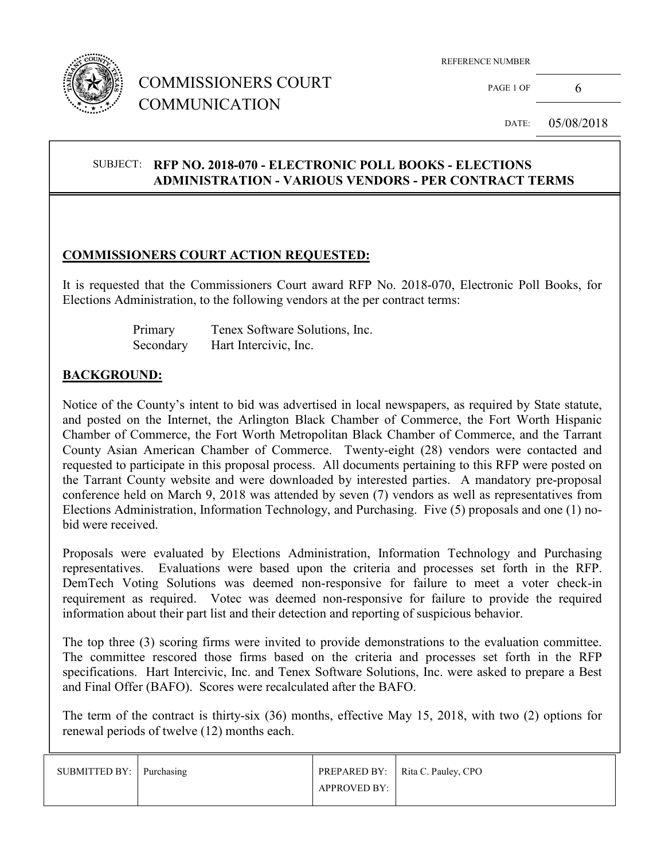

## COMMISSIONERS COURT COMMUNICATION

PAGE 1 OF 6

DATE: 05/08/2018

#### SUBJECT: **RFP NO. 2018-070 - ELECTRONIC POLL BOOKS - ELECTIONS ADMINISTRATION - VARIOUS VENDORS - PER CONTRACT TERMS**

#### **COMMISSIONERS COURT ACTION REQUESTED:**

It is requested that the Commissioners Court award RFP No. 2018-070, Electronic Poll Books, for Elections Administration, to the following vendors at the per contract terms:

> Primary Tenex Software Solutions, Inc. Secondary Hart Intercivic, Inc.

#### **BACKGROUND:**

 $\overline{a}$ 

Notice of the County's intent to bid was advertised in local newspapers, as required by State statute, and posted on the Internet, the Arlington Black Chamber of Commerce, the Fort Worth Hispanic Chamber of Commerce, the Fort Worth Metropolitan Black Chamber of Commerce, and the Tarrant County Asian American Chamber of Commerce. Twenty-eight (28) vendors were contacted and requested to participate in this proposal process. All documents pertaining to this RFP were posted on the Tarrant County website and were downloaded by interested parties. A mandatory pre-proposal conference held on March 9, 2018 was attended by seven (7) vendors as well as representatives from Elections Administration, Information Technology, and Purchasing. Five (5) proposals and one (1) nobid were received.

Proposals were evaluated by Elections Administration, Information Technology and Purchasing representatives. Evaluations were based upon the criteria and processes set forth in the RFP. DemTech Voting Solutions was deemed non-responsive for failure to meet a voter check-in requirement as required. Votec was deemed non-responsive for failure to provide the required information about their part list and their detection and reporting of suspicious behavior.

The top three (3) scoring firms were invited to provide demonstrations to the evaluation committee. The committee rescored those firms based on the criteria and processes set forth in the RFP specifications. Hart Intercivic, Inc. and Tenex Software Solutions, Inc. were asked to prepare a Best and Final Offer (BAFO). Scores were recalculated after the BAFO.

The term of the contract is thirty-six (36) months, effective May 15, 2018, with two (2) options for renewal periods of twelve (12) months each.

| SUBMITTED BY: Purchasing |                     | PREPARED BY:   Rita C. Pauley, CPO |
|--------------------------|---------------------|------------------------------------|
|                          | <b>APPROVED BY:</b> |                                    |